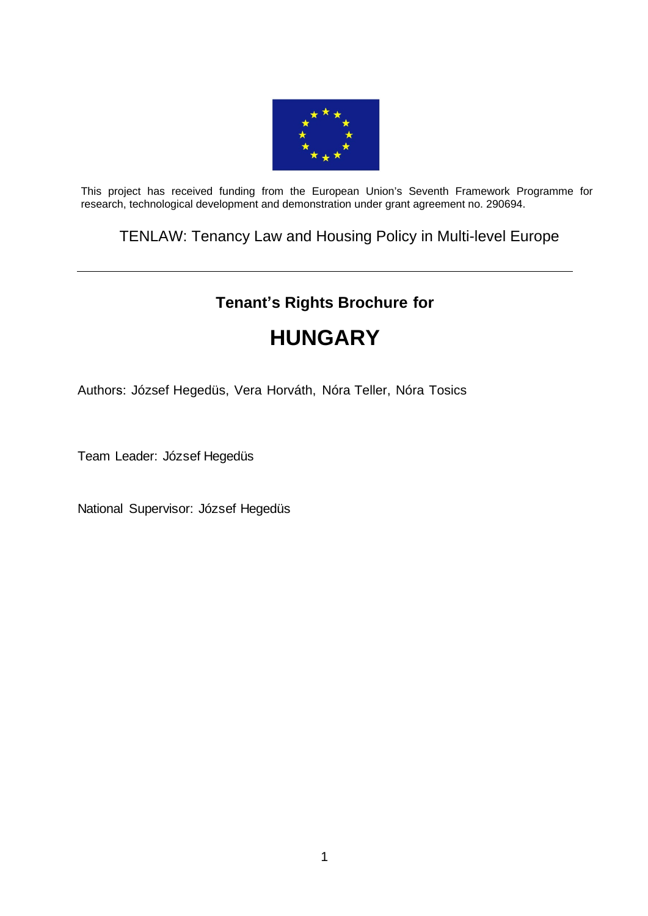

This project has received funding from the European Union's Seventh Framework Programme for research, technological development and demonstration under grant agreement no. 290694.

TENLAW: Tenancy Law and Housing Policy in Multi-level Europe

# **Tenant's Rights Brochure for**

# **HUNGARY**

Authors: József Hegedüs, Vera Horváth, Nóra Teller, Nóra Tosics

Team Leader: József Hegedüs

National Supervisor: József Hegedüs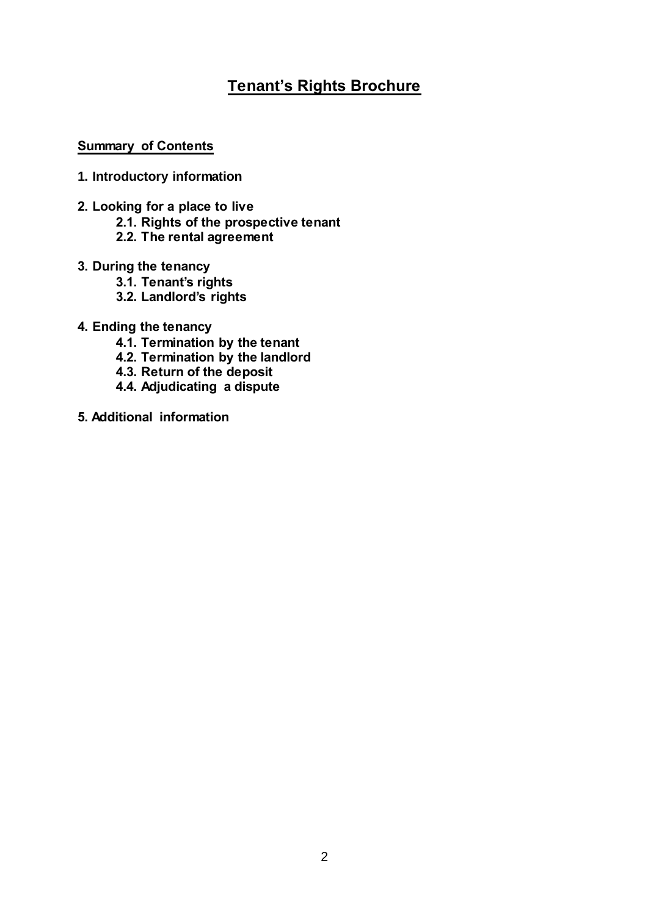# **Tenant's Rights Brochure**

#### **Summary of Contents**

- **1. Introductory information**
- **2. Looking for a place to live**
	- **2.1. Rights of the prospective tenant**
	- **2.2. The rental agreement**
- **3. During the tenancy**
	- **3.1. Tenant's rights**
	- **3.2. Landlord's rights**
- **4. Ending the tenancy**
	- **4.1. Termination by the tenant**
	- **4.2. Termination by the landlord**
	- **4.3. Return of the deposit**
	- **4.4. Adjudicating a dispute**
- **5. Additional information**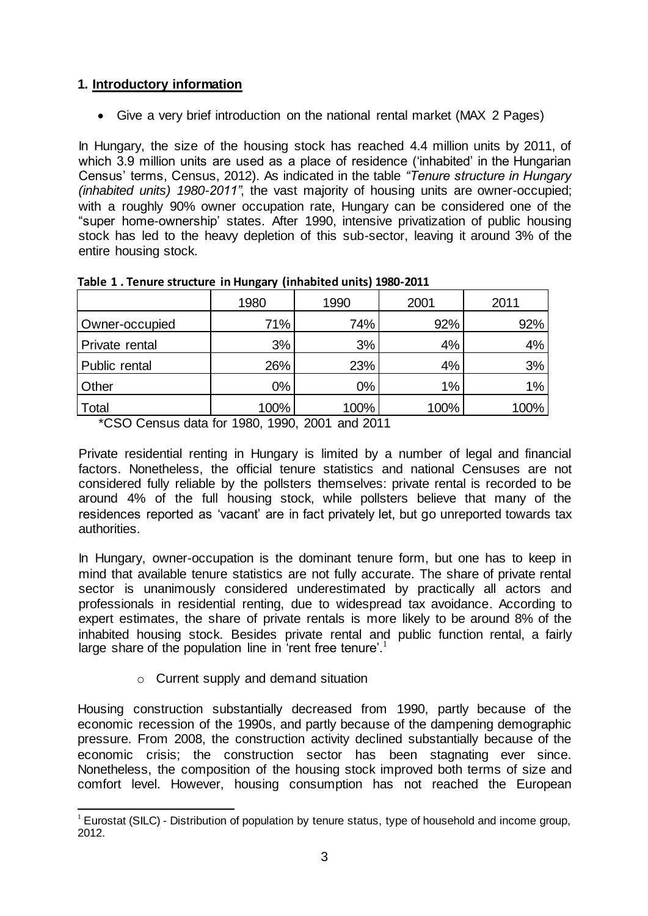# **1. Introductory information**

Give a very brief introduction on the national rental market (MAX 2 Pages)

In Hungary, the size of the housing stock has reached 4.4 million units by 2011, of which 3.9 million units are used as a place of residence ('inhabited' in the Hungarian Census' terms, Census, 2012). As indicated in the table *"Tenure structure in Hungary (inhabited units) 1980-2011"*, the vast majority of housing units are owner-occupied; with a roughly 90% owner occupation rate, Hungary can be considered one of the "super home-ownership' states. After 1990, intensive privatization of public housing stock has led to the heavy depletion of this sub-sector, leaving it around 3% of the entire housing stock.

|                       | 1980  | 1990  | 2001 | 2011  |
|-----------------------|-------|-------|------|-------|
| Owner-occupied        | 71%   | 74%   | 92%  | 92%   |
| <b>Private rental</b> | 3%    | 3%    | 4%   | $4\%$ |
| Public rental         | 26%   | 23%   | 4%   | 3%    |
| Other                 | $0\%$ | $0\%$ | 1%   | $1\%$ |
| Total                 | 100%  | 100%  | 100% | 100%  |

\*CSO Census data for 1980, 1990, 2001 and 2011

Private residential renting in Hungary is limited by a number of legal and financial factors. Nonetheless, the official tenure statistics and national Censuses are not considered fully reliable by the pollsters themselves: private rental is recorded to be around 4% of the full housing stock, while pollsters believe that many of the residences reported as 'vacant' are in fact privately let, but go unreported towards tax authorities.

In Hungary, owner-occupation is the dominant tenure form, but one has to keep in mind that available tenure statistics are not fully accurate. The share of private rental sector is unanimously considered underestimated by practically all actors and professionals in residential renting, due to widespread tax avoidance. According to expert estimates, the share of private rentals is more likely to be around 8% of the inhabited housing stock. Besides private rental and public function rental, a fairly large share of the population line in 'rent free tenure'.<sup>1</sup>

o Current supply and demand situation

Housing construction substantially decreased from 1990, partly because of the economic recession of the 1990s, and partly because of the dampening demographic pressure. From 2008, the construction activity declined substantially because of the economic crisis; the construction sector has been stagnating ever since. Nonetheless, the composition of the housing stock improved both terms of size and comfort level. However, housing consumption has not reached the European

<sup>-</sup> $1$  Eurostat (SILC) - Distribution of population by tenure status, type of household and income group, 2012.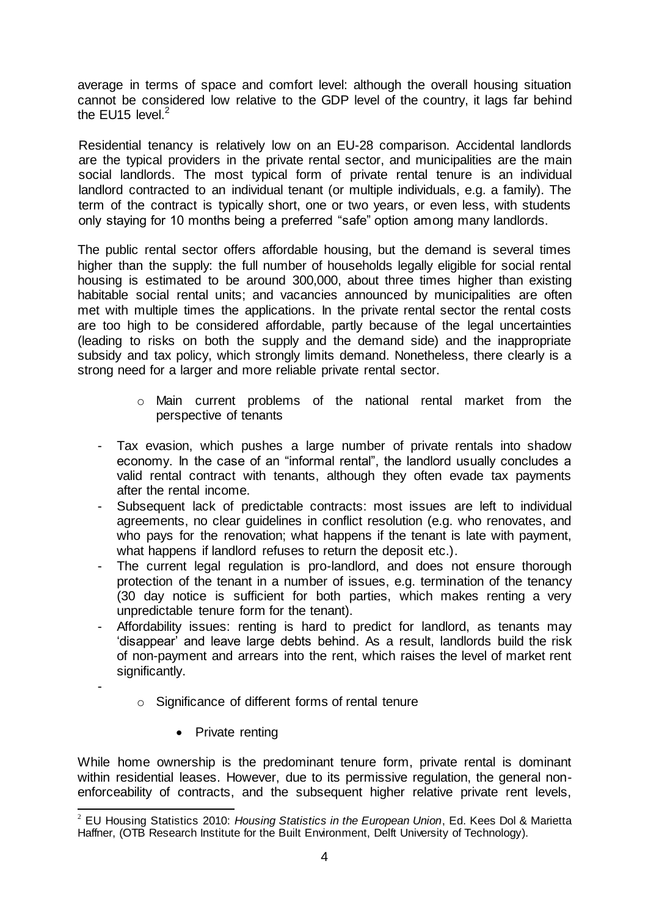average in terms of space and comfort level: although the overall housing situation cannot be considered low relative to the GDP level of the country, it lags far behind the  $F1115$  level  $^2$ 

Residential tenancy is relatively low on an EU-28 comparison. Accidental landlords are the typical providers in the private rental sector, and municipalities are the main social landlords. The most typical form of private rental tenure is an individual landlord contracted to an individual tenant (or multiple individuals, e.g. a family). The term of the contract is typically short, one or two years, or even less, with students only staying for 10 months being a preferred "safe" option among many landlords.

The public rental sector offers affordable housing, but the demand is several times higher than the supply: the full number of households legally eligible for social rental housing is estimated to be around 300,000, about three times higher than existing habitable social rental units; and vacancies announced by municipalities are often met with multiple times the applications. In the private rental sector the rental costs are too high to be considered affordable, partly because of the legal uncertainties (leading to risks on both the supply and the demand side) and the inappropriate subsidy and tax policy, which strongly limits demand. Nonetheless, there clearly is a strong need for a larger and more reliable private rental sector.

- o Main current problems of the national rental market from the perspective of tenants
- Tax evasion, which pushes a large number of private rentals into shadow economy. In the case of an "informal rental", the landlord usually concludes a valid rental contract with tenants, although they often evade tax payments after the rental income.
- Subsequent lack of predictable contracts: most issues are left to individual agreements, no clear guidelines in conflict resolution (e.g. who renovates, and who pays for the renovation; what happens if the tenant is late with payment, what happens if landlord refuses to return the deposit etc.).
- The current legal regulation is pro-landlord, and does not ensure thorough protection of the tenant in a number of issues, e.g. termination of the tenancy (30 day notice is sufficient for both parties, which makes renting a very unpredictable tenure form for the tenant).
- Affordability issues: renting is hard to predict for landlord, as tenants may 'disappear' and leave large debts behind. As a result, landlords build the risk of non-payment and arrears into the rent, which raises the level of market rent significantly.
	- o Significance of different forms of rental tenure
		- Private renting

-

While home ownership is the predominant tenure form, private rental is dominant within residential leases. However, due to its permissive regulation, the general nonenforceability of contracts, and the subsequent higher relative private rent levels,

<sup>-</sup><sup>2</sup> EU Housing Statistics 2010: *Housing Statistics in the European Union*, Ed. Kees Dol & Marietta Haffner, (OTB Research Institute for the Built Environment, Delft University of Technology).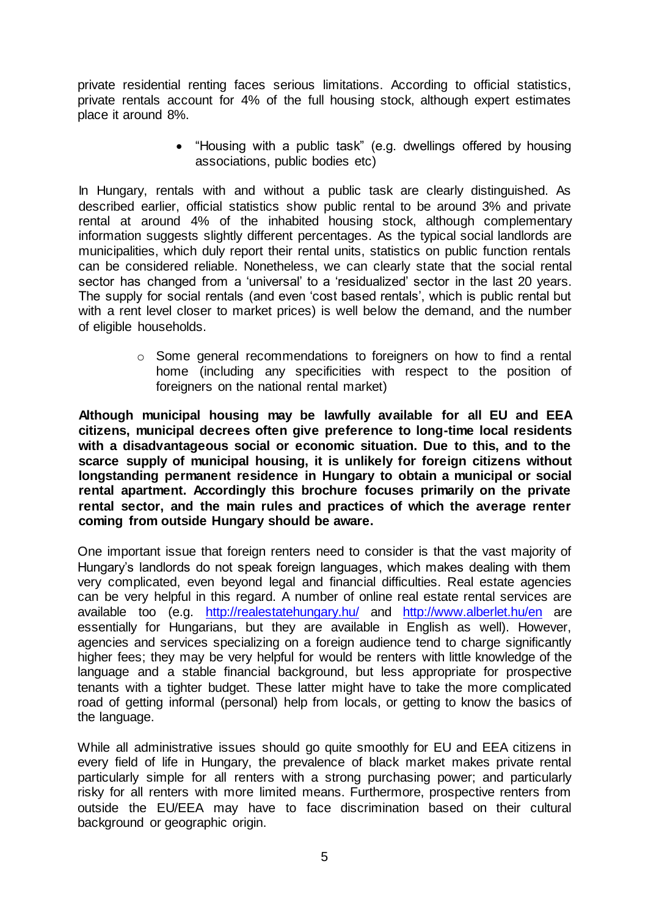private residential renting faces serious limitations. According to official statistics, private rentals account for 4% of the full housing stock, although expert estimates place it around 8%.

> "Housing with a public task" (e.g. dwellings offered by housing associations, public bodies etc)

In Hungary, rentals with and without a public task are clearly distinguished. As described earlier, official statistics show public rental to be around 3% and private rental at around 4% of the inhabited housing stock, although complementary information suggests slightly different percentages. As the typical social landlords are municipalities, which duly report their rental units, statistics on public function rentals can be considered reliable. Nonetheless, we can clearly state that the social rental sector has changed from a 'universal' to a 'residualized' sector in the last 20 years. The supply for social rentals (and even 'cost based rentals', which is public rental but with a rent level closer to market prices) is well below the demand, and the number of eligible households.

> o Some general recommendations to foreigners on how to find a rental home (including any specificities with respect to the position of foreigners on the national rental market)

**Although municipal housing may be lawfully available for all EU and EEA citizens, municipal decrees often give preference to long-time local residents with a disadvantageous social or economic situation. Due to this, and to the scarce supply of municipal housing, it is unlikely for foreign citizens without longstanding permanent residence in Hungary to obtain a municipal or social rental apartment. Accordingly this brochure focuses primarily on the private rental sector, and the main rules and practices of which the average renter coming from outside Hungary should be aware.** 

One important issue that foreign renters need to consider is that the vast majority of Hungary's landlords do not speak foreign languages, which makes dealing with them very complicated, even beyond legal and financial difficulties. Real estate agencies can be very helpful in this regard. A number of online real estate rental services are available too (e.g. <http://realestatehungary.hu/> and <http://www.alberlet.hu/en> are essentially for Hungarians, but they are available in English as well). However, agencies and services specializing on a foreign audience tend to charge significantly higher fees; they may be very helpful for would be renters with little knowledge of the language and a stable financial background, but less appropriate for prospective tenants with a tighter budget. These latter might have to take the more complicated road of getting informal (personal) help from locals, or getting to know the basics of the language.

While all administrative issues should go quite smoothly for EU and EEA citizens in every field of life in Hungary, the prevalence of black market makes private rental particularly simple for all renters with a strong purchasing power; and particularly risky for all renters with more limited means. Furthermore, prospective renters from outside the EU/EEA may have to face discrimination based on their cultural background or geographic origin.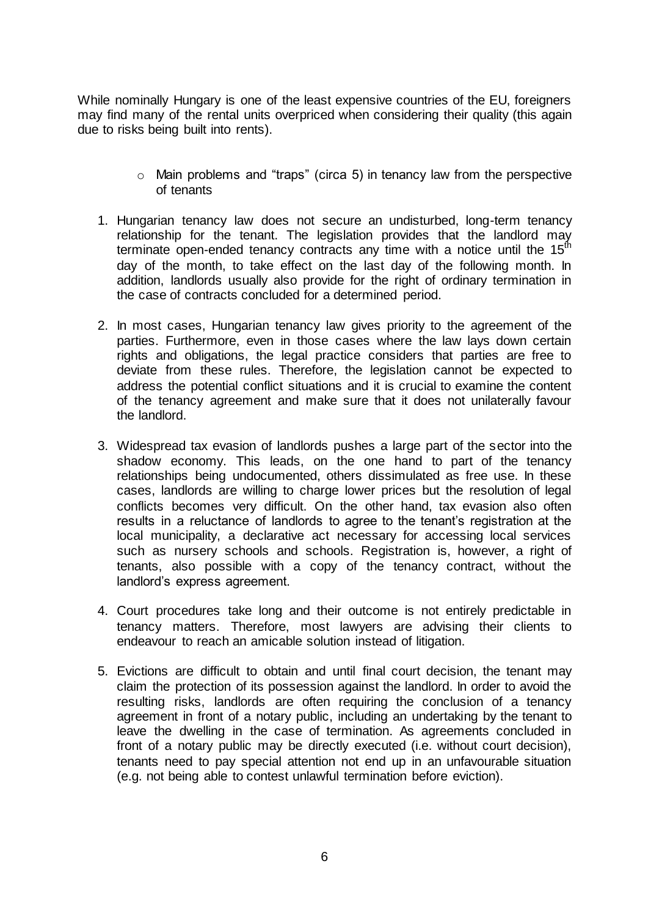While nominally Hungary is one of the least expensive countries of the EU, foreigners may find many of the rental units overpriced when considering their quality (this again due to risks being built into rents).

- o Main problems and "traps" (circa 5) in tenancy law from the perspective of tenants
- 1. Hungarian tenancy law does not secure an undisturbed, long-term tenancy relationship for the tenant. The legislation provides that the landlord may terminate open-ended tenancy contracts any time with a notice until the  $15<sup>th</sup>$ day of the month, to take effect on the last day of the following month. In addition, landlords usually also provide for the right of ordinary termination in the case of contracts concluded for a determined period.
- 2. In most cases, Hungarian tenancy law gives priority to the agreement of the parties. Furthermore, even in those cases where the law lays down certain rights and obligations, the legal practice considers that parties are free to deviate from these rules. Therefore, the legislation cannot be expected to address the potential conflict situations and it is crucial to examine the content of the tenancy agreement and make sure that it does not unilaterally favour the landlord.
- 3. Widespread tax evasion of landlords pushes a large part of the sector into the shadow economy. This leads, on the one hand to part of the tenancy relationships being undocumented, others dissimulated as free use. In these cases, landlords are willing to charge lower prices but the resolution of legal conflicts becomes very difficult. On the other hand, tax evasion also often results in a reluctance of landlords to agree to the tenant's registration at the local municipality, a declarative act necessary for accessing local services such as nursery schools and schools. Registration is, however, a right of tenants, also possible with a copy of the tenancy contract, without the landlord's express agreement.
- 4. Court procedures take long and their outcome is not entirely predictable in tenancy matters. Therefore, most lawyers are advising their clients to endeavour to reach an amicable solution instead of litigation.
- 5. Evictions are difficult to obtain and until final court decision, the tenant may claim the protection of its possession against the landlord. In order to avoid the resulting risks, landlords are often requiring the conclusion of a tenancy agreement in front of a notary public, including an undertaking by the tenant to leave the dwelling in the case of termination. As agreements concluded in front of a notary public may be directly executed (i.e. without court decision), tenants need to pay special attention not end up in an unfavourable situation (e.g. not being able to contest unlawful termination before eviction).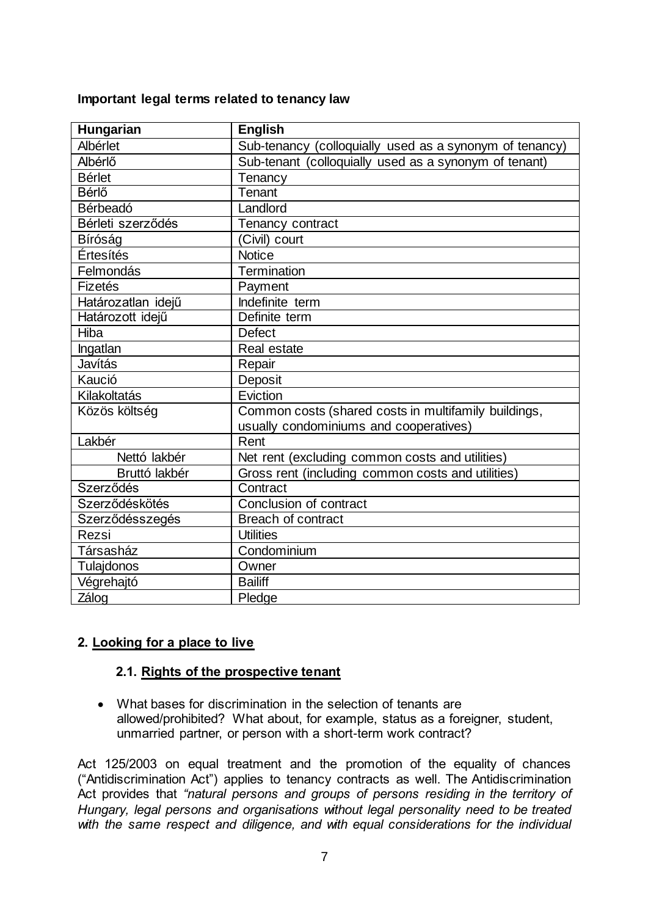#### **Important legal terms related to tenancy law**

| <b>Hungarian</b>   | <b>English</b>                                          |  |  |
|--------------------|---------------------------------------------------------|--|--|
| Albérlet           | Sub-tenancy (colloquially used as a synonym of tenancy) |  |  |
| Albérlő            | Sub-tenant (colloquially used as a synonym of tenant)   |  |  |
| <b>Bérlet</b>      | Tenancy                                                 |  |  |
| Bérlő              | Tenant                                                  |  |  |
| Bérbeadó           | Landlord                                                |  |  |
| Bérleti szerződés  | Tenancy contract                                        |  |  |
| Bíróság            | (Civil) court                                           |  |  |
| Értesítés          | <b>Notice</b>                                           |  |  |
| Felmondás          | Termination                                             |  |  |
| Fizetés            | Payment                                                 |  |  |
| Határozatlan idejű | Indefinite term                                         |  |  |
| Határozott idejű   | Definite term                                           |  |  |
| Hiba               | <b>Defect</b>                                           |  |  |
| Ingatlan           | Real estate                                             |  |  |
| Javítás            | Repair                                                  |  |  |
| Kaució             | Deposit                                                 |  |  |
| Kilakoltatás       | Eviction                                                |  |  |
| Közös költség      | Common costs (shared costs in multifamily buildings,    |  |  |
|                    | usually condominiums and cooperatives)                  |  |  |
| Lakbér             | Rent                                                    |  |  |
| Nettó lakbér       | Net rent (excluding common costs and utilities)         |  |  |
| Bruttó lakbér      | Gross rent (including common costs and utilities)       |  |  |
| Szerződés          | Contract                                                |  |  |
| Szerződéskötés     | Conclusion of contract                                  |  |  |
| Szerződésszegés    | <b>Breach of contract</b>                               |  |  |
| Rezsi              | <b>Utilities</b>                                        |  |  |
| Társasház          | Condominium                                             |  |  |
| Tulajdonos         | Owner                                                   |  |  |
| Végrehajtó         | <b>Bailiff</b>                                          |  |  |
| Zálog              | Pledge                                                  |  |  |

#### **2. Looking for a place to live**

#### **2.1. Rights of the prospective tenant**

 What bases for discrimination in the selection of tenants are allowed/prohibited? What about, for example, status as a foreigner, student, unmarried partner, or person with a short-term work contract?

Act 125/2003 on equal treatment and the promotion of the equality of chances ("Antidiscrimination Act") applies to tenancy contracts as well. The Antidiscrimination Act provides that *"natural persons and groups of persons residing in the territory of Hungary, legal persons and organisations without legal personality need to be treated with the same respect and diligence, and with equal considerations for the individual*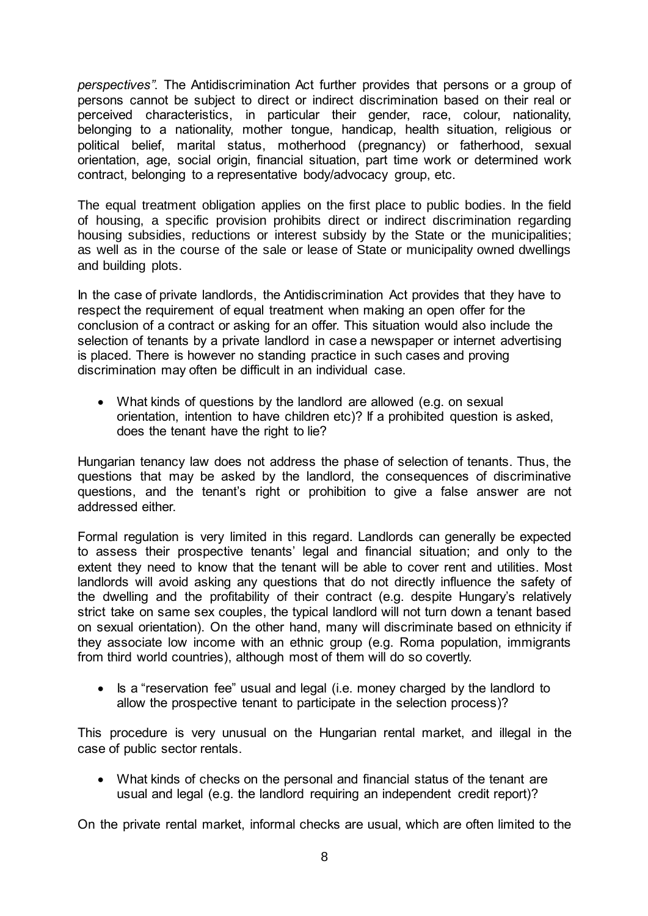*perspectives"*. The Antidiscrimination Act further provides that persons or a group of persons cannot be subject to direct or indirect discrimination based on their real or perceived characteristics, in particular their gender, race, colour, nationality, belonging to a nationality, mother tongue, handicap, health situation, religious or political belief, marital status, motherhood (pregnancy) or fatherhood, sexual orientation, age, social origin, financial situation, part time work or determined work contract, belonging to a representative body/advocacy group, etc.

The equal treatment obligation applies on the first place to public bodies. In the field of housing, a specific provision prohibits direct or indirect discrimination regarding housing subsidies, reductions or interest subsidy by the State or the municipalities; as well as in the course of the sale or lease of State or municipality owned dwellings and building plots.

In the case of private landlords, the Antidiscrimination Act provides that they have to respect the requirement of equal treatment when making an open offer for the conclusion of a contract or asking for an offer. This situation would also include the selection of tenants by a private landlord in case a newspaper or internet advertising is placed. There is however no standing practice in such cases and proving discrimination may often be difficult in an individual case.

 What kinds of questions by the landlord are allowed (e.g. on sexual orientation, intention to have children etc)? If a prohibited question is asked, does the tenant have the right to lie?

Hungarian tenancy law does not address the phase of selection of tenants. Thus, the questions that may be asked by the landlord, the consequences of discriminative questions, and the tenant's right or prohibition to give a false answer are not addressed either.

Formal regulation is very limited in this regard. Landlords can generally be expected to assess their prospective tenants' legal and financial situation; and only to the extent they need to know that the tenant will be able to cover rent and utilities. Most landlords will avoid asking any questions that do not directly influence the safety of the dwelling and the profitability of their contract (e.g. despite Hungary's relatively strict take on same sex couples, the typical landlord will not turn down a tenant based on sexual orientation). On the other hand, many will discriminate based on ethnicity if they associate low income with an ethnic group (e.g. Roma population, immigrants from third world countries), although most of them will do so covertly.

• Is a "reservation fee" usual and legal (i.e. money charged by the landlord to allow the prospective tenant to participate in the selection process)?

This procedure is very unusual on the Hungarian rental market, and illegal in the case of public sector rentals.

 What kinds of checks on the personal and financial status of the tenant are usual and legal (e.g. the landlord requiring an independent credit report)?

On the private rental market, informal checks are usual, which are often limited to the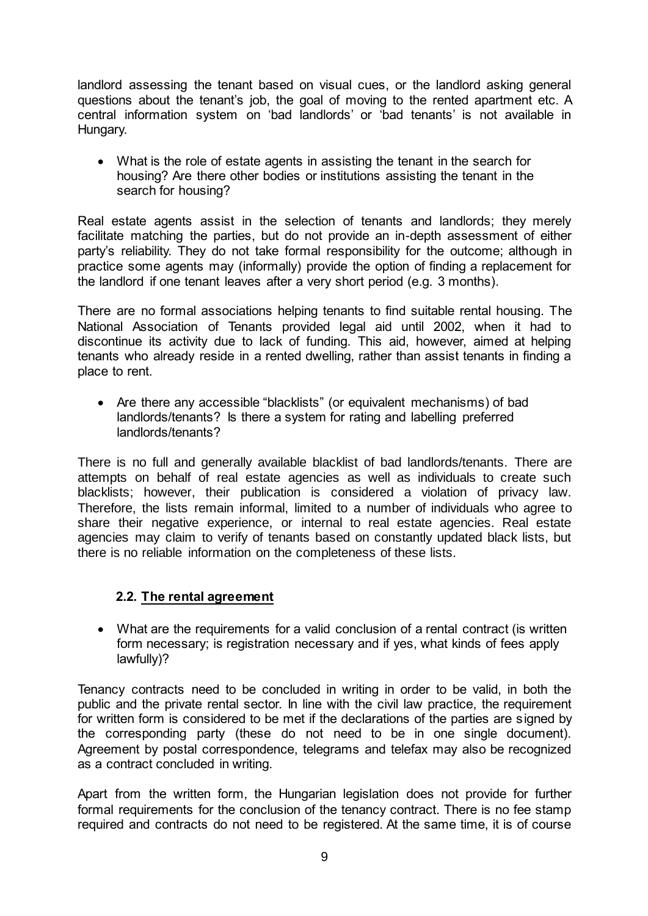landlord assessing the tenant based on visual cues, or the landlord asking general questions about the tenant's job, the goal of moving to the rented apartment etc. A central information system on 'bad landlords' or 'bad tenants' is not available in Hungary.

 What is the role of estate agents in assisting the tenant in the search for housing? Are there other bodies or institutions assisting the tenant in the search for housing?

Real estate agents assist in the selection of tenants and landlords; they merely facilitate matching the parties, but do not provide an in-depth assessment of either party's reliability. They do not take formal responsibility for the outcome; although in practice some agents may (informally) provide the option of finding a replacement for the landlord if one tenant leaves after a very short period (e.g. 3 months).

There are no formal associations helping tenants to find suitable rental housing. The National Association of Tenants provided legal aid until 2002, when it had to discontinue its activity due to lack of funding. This aid, however, aimed at helping tenants who already reside in a rented dwelling, rather than assist tenants in finding a place to rent.

 Are there any accessible "blacklists" (or equivalent mechanisms) of bad landlords/tenants? Is there a system for rating and labelling preferred landlords/tenants?

There is no full and generally available blacklist of bad landlords/tenants. There are attempts on behalf of real estate agencies as well as individuals to create such blacklists; however, their publication is considered a violation of privacy law. Therefore, the lists remain informal, limited to a number of individuals who agree to share their negative experience, or internal to real estate agencies. Real estate agencies may claim to verify of tenants based on constantly updated black lists, but there is no reliable information on the completeness of these lists.

# **2.2. The rental agreement**

 What are the requirements for a valid conclusion of a rental contract (is written form necessary; is registration necessary and if yes, what kinds of fees apply lawfully)?

Tenancy contracts need to be concluded in writing in order to be valid, in both the public and the private rental sector. In line with the civil law practice, the requirement for written form is considered to be met if the declarations of the parties are signed by the corresponding party (these do not need to be in one single document). Agreement by postal correspondence, telegrams and telefax may also be recognized as a contract concluded in writing.

Apart from the written form, the Hungarian legislation does not provide for further formal requirements for the conclusion of the tenancy contract. There is no fee stamp required and contracts do not need to be registered. At the same time, it is of course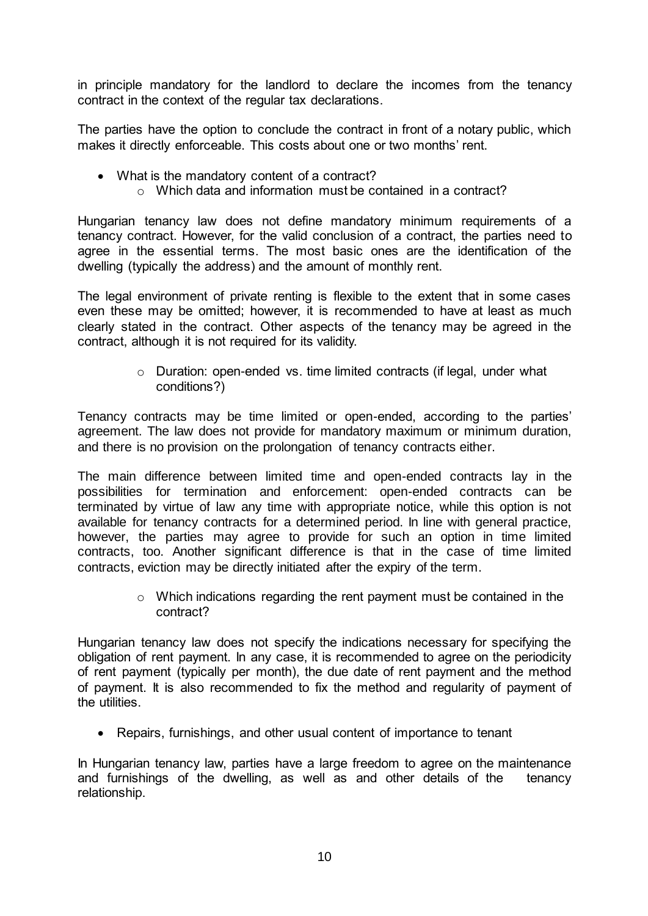in principle mandatory for the landlord to declare the incomes from the tenancy contract in the context of the regular tax declarations.

The parties have the option to conclude the contract in front of a notary public, which makes it directly enforceable. This costs about one or two months' rent.

- What is the mandatory content of a contract?
	- $\circ$  Which data and information must be contained in a contract?

Hungarian tenancy law does not define mandatory minimum requirements of a tenancy contract. However, for the valid conclusion of a contract, the parties need to agree in the essential terms. The most basic ones are the identification of the dwelling (typically the address) and the amount of monthly rent.

The legal environment of private renting is flexible to the extent that in some cases even these may be omitted; however, it is recommended to have at least as much clearly stated in the contract. Other aspects of the tenancy may be agreed in the contract, although it is not required for its validity.

> o Duration: open-ended vs. time limited contracts (if legal, under what conditions?)

Tenancy contracts may be time limited or open-ended, according to the parties' agreement. The law does not provide for mandatory maximum or minimum duration, and there is no provision on the prolongation of tenancy contracts either.

The main difference between limited time and open-ended contracts lay in the possibilities for termination and enforcement: open-ended contracts can be terminated by virtue of law any time with appropriate notice, while this option is not available for tenancy contracts for a determined period. In line with general practice, however, the parties may agree to provide for such an option in time limited contracts, too. Another significant difference is that in the case of time limited contracts, eviction may be directly initiated after the expiry of the term.

> o Which indications regarding the rent payment must be contained in the contract?

Hungarian tenancy law does not specify the indications necessary for specifying the obligation of rent payment. In any case, it is recommended to agree on the periodicity of rent payment (typically per month), the due date of rent payment and the method of payment. It is also recommended to fix the method and regularity of payment of the utilities.

• Repairs, furnishings, and other usual content of importance to tenant

In Hungarian tenancy law, parties have a large freedom to agree on the maintenance and furnishings of the dwelling, as well as and other details of the tenancy relationship.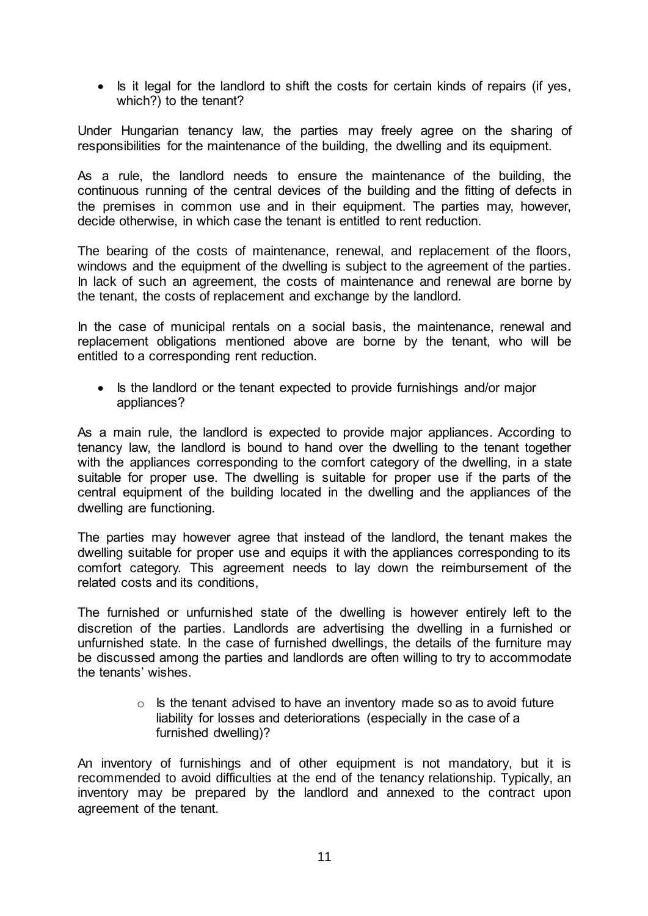• Is it legal for the landlord to shift the costs for certain kinds of repairs (if yes, which?) to the tenant?

Under Hungarian tenancy law, the parties may freely agree on the sharing of responsibilities for the maintenance of the building, the dwelling and its equipment.

As a rule, the landlord needs to ensure the maintenance of the building, the continuous running of the central devices of the building and the fitting of defects in the premises in common use and in their equipment. The parties may, however, decide otherwise, in which case the tenant is entitled to rent reduction.

The bearing of the costs of maintenance, renewal, and replacement of the floors, windows and the equipment of the dwelling is subject to the agreement of the parties. In lack of such an agreement, the costs of maintenance and renewal are borne by the tenant, the costs of replacement and exchange by the landlord.

In the case of municipal rentals on a social basis, the maintenance, renewal and replacement obligations mentioned above are borne by the tenant, who will be entitled to a corresponding rent reduction.

• Is the landlord or the tenant expected to provide furnishings and/or major appliances?

As a main rule, the landlord is expected to provide major appliances. According to tenancy law, the landlord is bound to hand over the dwelling to the tenant together with the appliances corresponding to the comfort category of the dwelling, in a state suitable for proper use. The dwelling is suitable for proper use if the parts of the central equipment of the building located in the dwelling and the appliances of the dwelling are functioning.

The parties may however agree that instead of the landlord, the tenant makes the dwelling suitable for proper use and equips it with the appliances corresponding to its comfort category. This agreement needs to lay down the reimbursement of the related costs and its conditions,

The furnished or unfurnished state of the dwelling is however entirely left to the discretion of the parties. Landlords are advertising the dwelling in a furnished or unfurnished state. In the case of furnished dwellings, the details of the furniture may be discussed among the parties and landlords are often willing to try to accommodate the tenants' wishes.

> $\circ$  Is the tenant advised to have an inventory made so as to avoid future liability for losses and deteriorations (especially in the case of a furnished dwelling)?

An inventory of furnishings and of other equipment is not mandatory, but it is recommended to avoid difficulties at the end of the tenancy relationship. Typically, an inventory may be prepared by the landlord and annexed to the contract upon agreement of the tenant.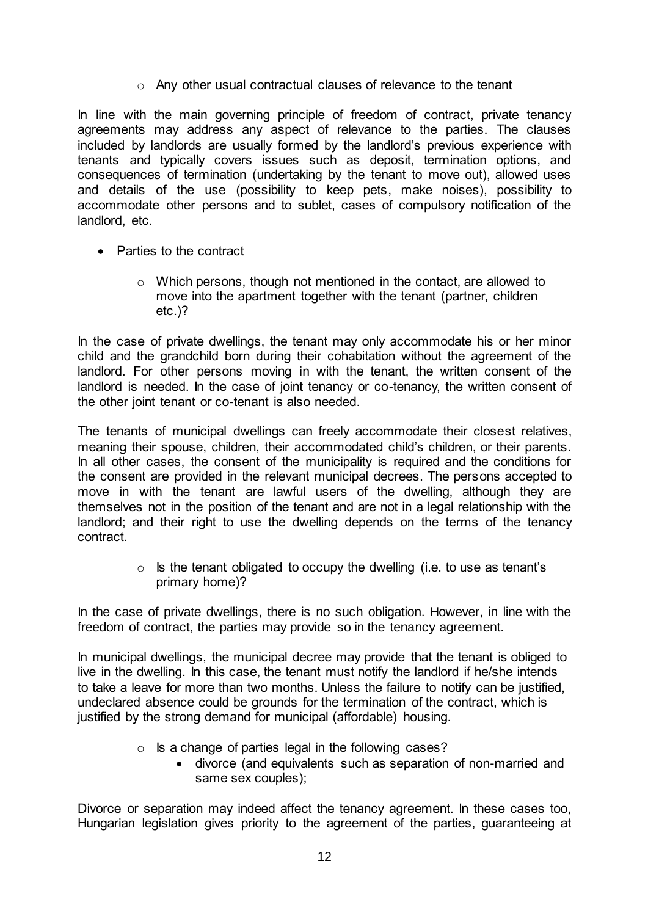o Any other usual contractual clauses of relevance to the tenant

In line with the main governing principle of freedom of contract, private tenancy agreements may address any aspect of relevance to the parties. The clauses included by landlords are usually formed by the landlord's previous experience with tenants and typically covers issues such as deposit, termination options, and consequences of termination (undertaking by the tenant to move out), allowed uses and details of the use (possibility to keep pets, make noises), possibility to accommodate other persons and to sublet, cases of compulsory notification of the landlord, etc.

- Parties to the contract
	- $\circ$  Which persons, though not mentioned in the contact, are allowed to move into the apartment together with the tenant (partner, children etc.)?

In the case of private dwellings, the tenant may only accommodate his or her minor child and the grandchild born during their cohabitation without the agreement of the landlord. For other persons moving in with the tenant, the written consent of the landlord is needed. In the case of joint tenancy or co-tenancy, the written consent of the other joint tenant or co-tenant is also needed.

The tenants of municipal dwellings can freely accommodate their closest relatives, meaning their spouse, children, their accommodated child's children, or their parents. In all other cases, the consent of the municipality is required and the conditions for the consent are provided in the relevant municipal decrees. The persons accepted to move in with the tenant are lawful users of the dwelling, although they are themselves not in the position of the tenant and are not in a legal relationship with the landlord; and their right to use the dwelling depends on the terms of the tenancy contract.

> $\circ$  Is the tenant obligated to occupy the dwelling (i.e. to use as tenant's primary home)?

In the case of private dwellings, there is no such obligation. However, in line with the freedom of contract, the parties may provide so in the tenancy agreement.

In municipal dwellings, the municipal decree may provide that the tenant is obliged to live in the dwelling. In this case, the tenant must notify the landlord if he/she intends to take a leave for more than two months. Unless the failure to notify can be justified, undeclared absence could be grounds for the termination of the contract, which is justified by the strong demand for municipal (affordable) housing.

- $\circ$  Is a change of parties legal in the following cases?
	- divorce (and equivalents such as separation of non-married and same sex couples);

Divorce or separation may indeed affect the tenancy agreement. In these cases too, Hungarian legislation gives priority to the agreement of the parties, guaranteeing at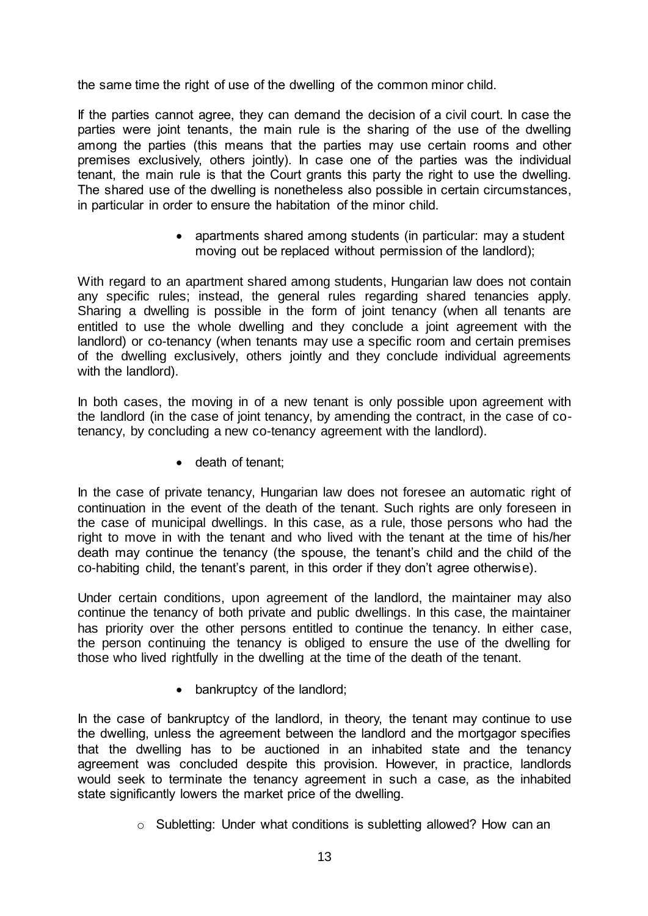the same time the right of use of the dwelling of the common minor child.

If the parties cannot agree, they can demand the decision of a civil court. In case the parties were joint tenants, the main rule is the sharing of the use of the dwelling among the parties (this means that the parties may use certain rooms and other premises exclusively, others jointly). In case one of the parties was the individual tenant, the main rule is that the Court grants this party the right to use the dwelling. The shared use of the dwelling is nonetheless also possible in certain circumstances, in particular in order to ensure the habitation of the minor child.

> • apartments shared among students (in particular: may a student moving out be replaced without permission of the landlord);

With regard to an apartment shared among students, Hungarian law does not contain any specific rules; instead, the general rules regarding shared tenancies apply. Sharing a dwelling is possible in the form of joint tenancy (when all tenants are entitled to use the whole dwelling and they conclude a joint agreement with the landlord) or co-tenancy (when tenants may use a specific room and certain premises of the dwelling exclusively, others jointly and they conclude individual agreements with the landlord).

In both cases, the moving in of a new tenant is only possible upon agreement with the landlord (in the case of joint tenancy, by amending the contract, in the case of cotenancy, by concluding a new co-tenancy agreement with the landlord).

• death of tenant;

In the case of private tenancy, Hungarian law does not foresee an automatic right of continuation in the event of the death of the tenant. Such rights are only foreseen in the case of municipal dwellings. In this case, as a rule, those persons who had the right to move in with the tenant and who lived with the tenant at the time of his/her death may continue the tenancy (the spouse, the tenant's child and the child of the co-habiting child, the tenant's parent, in this order if they don't agree otherwise).

Under certain conditions, upon agreement of the landlord, the maintainer may also continue the tenancy of both private and public dwellings. In this case, the maintainer has priority over the other persons entitled to continue the tenancy. In either case, the person continuing the tenancy is obliged to ensure the use of the dwelling for those who lived rightfully in the dwelling at the time of the death of the tenant.

• bankruptcy of the landlord;

In the case of bankruptcy of the landlord, in theory, the tenant may continue to use the dwelling, unless the agreement between the landlord and the mortgagor specifies that the dwelling has to be auctioned in an inhabited state and the tenancy agreement was concluded despite this provision. However, in practice, landlords would seek to terminate the tenancy agreement in such a case, as the inhabited state significantly lowers the market price of the dwelling.

o Subletting: Under what conditions is subletting allowed? How can an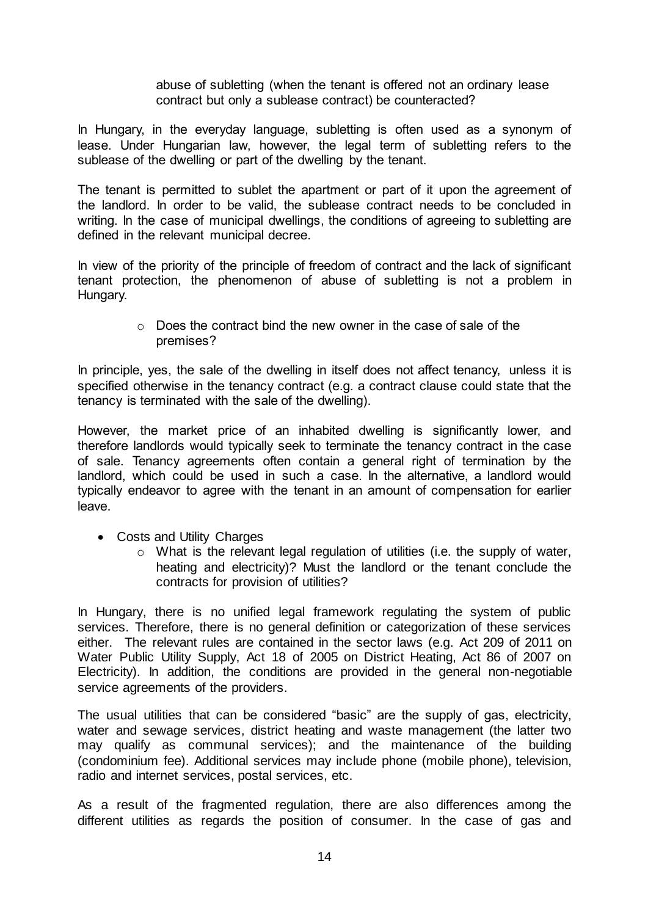abuse of subletting (when the tenant is offered not an ordinary lease contract but only a sublease contract) be counteracted?

In Hungary, in the everyday language, subletting is often used as a synonym of lease. Under Hungarian law, however, the legal term of subletting refers to the sublease of the dwelling or part of the dwelling by the tenant.

The tenant is permitted to sublet the apartment or part of it upon the agreement of the landlord. In order to be valid, the sublease contract needs to be concluded in writing. In the case of municipal dwellings, the conditions of agreeing to subletting are defined in the relevant municipal decree.

In view of the priority of the principle of freedom of contract and the lack of significant tenant protection, the phenomenon of abuse of subletting is not a problem in Hungary.

> $\circ$  Does the contract bind the new owner in the case of sale of the premises?

In principle, yes, the sale of the dwelling in itself does not affect tenancy, unless it is specified otherwise in the tenancy contract (e.g. a contract clause could state that the tenancy is terminated with the sale of the dwelling).

However, the market price of an inhabited dwelling is significantly lower, and therefore landlords would typically seek to terminate the tenancy contract in the case of sale. Tenancy agreements often contain a general right of termination by the landlord, which could be used in such a case. In the alternative, a landlord would typically endeavor to agree with the tenant in an amount of compensation for earlier leave.

- Costs and Utility Charges
	- o What is the relevant legal regulation of utilities (i.e. the supply of water, heating and electricity)? Must the landlord or the tenant conclude the contracts for provision of utilities?

In Hungary, there is no unified legal framework regulating the system of public services. Therefore, there is no general definition or categorization of these services either. The relevant rules are contained in the sector laws (e.g. Act 209 of 2011 on Water Public Utility Supply, Act 18 of 2005 on District Heating, Act 86 of 2007 on Electricity). In addition, the conditions are provided in the general non-negotiable service agreements of the providers.

The usual utilities that can be considered "basic" are the supply of gas, electricity, water and sewage services, district heating and waste management (the latter two may qualify as communal services); and the maintenance of the building (condominium fee). Additional services may include phone (mobile phone), television, radio and internet services, postal services, etc.

As a result of the fragmented regulation, there are also differences among the different utilities as regards the position of consumer. In the case of gas and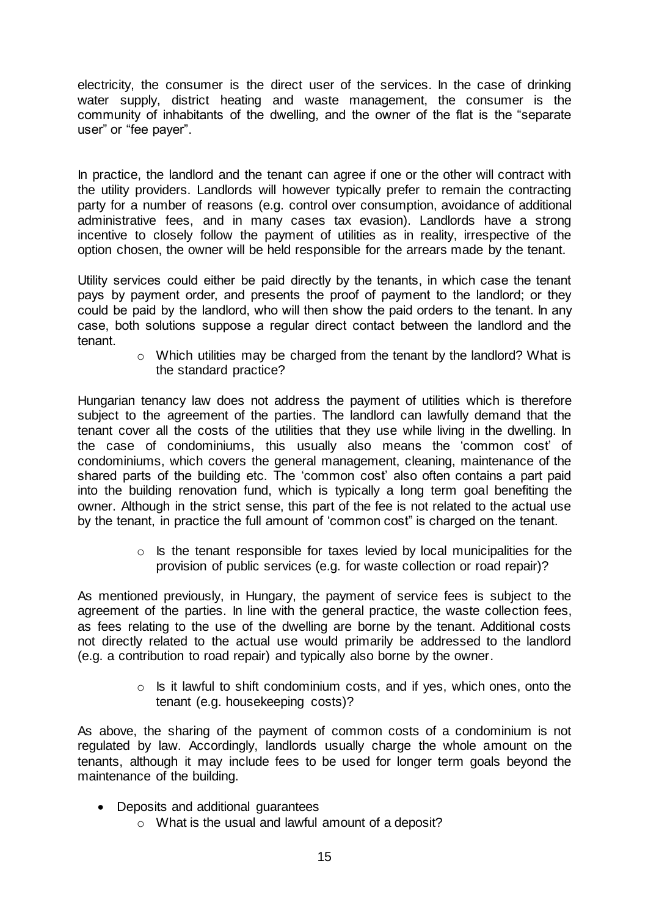electricity, the consumer is the direct user of the services. In the case of drinking water supply, district heating and waste management, the consumer is the community of inhabitants of the dwelling, and the owner of the flat is the "separate user" or "fee payer".

In practice, the landlord and the tenant can agree if one or the other will contract with the utility providers. Landlords will however typically prefer to remain the contracting party for a number of reasons (e.g. control over consumption, avoidance of additional administrative fees, and in many cases tax evasion). Landlords have a strong incentive to closely follow the payment of utilities as in reality, irrespective of the option chosen, the owner will be held responsible for the arrears made by the tenant.

Utility services could either be paid directly by the tenants, in which case the tenant pays by payment order, and presents the proof of payment to the landlord; or they could be paid by the landlord, who will then show the paid orders to the tenant. In any case, both solutions suppose a regular direct contact between the landlord and the tenant.

o Which utilities may be charged from the tenant by the landlord? What is the standard practice?

Hungarian tenancy law does not address the payment of utilities which is therefore subject to the agreement of the parties. The landlord can lawfully demand that the tenant cover all the costs of the utilities that they use while living in the dwelling. In the case of condominiums, this usually also means the 'common cost' of condominiums, which covers the general management, cleaning, maintenance of the shared parts of the building etc. The 'common cost' also often contains a part paid into the building renovation fund, which is typically a long term goal benefiting the owner. Although in the strict sense, this part of the fee is not related to the actual use by the tenant, in practice the full amount of 'common cost" is charged on the tenant.

> o Is the tenant responsible for taxes levied by local municipalities for the provision of public services (e.g. for waste collection or road repair)?

As mentioned previously, in Hungary, the payment of service fees is subject to the agreement of the parties. In line with the general practice, the waste collection fees, as fees relating to the use of the dwelling are borne by the tenant. Additional costs not directly related to the actual use would primarily be addressed to the landlord (e.g. a contribution to road repair) and typically also borne by the owner.

> $\circ$  Is it lawful to shift condominium costs, and if yes, which ones, onto the tenant (e.g. housekeeping costs)?

As above, the sharing of the payment of common costs of a condominium is not regulated by law. Accordingly, landlords usually charge the whole amount on the tenants, although it may include fees to be used for longer term goals beyond the maintenance of the building.

- Deposits and additional guarantees
	- o What is the usual and lawful amount of a deposit?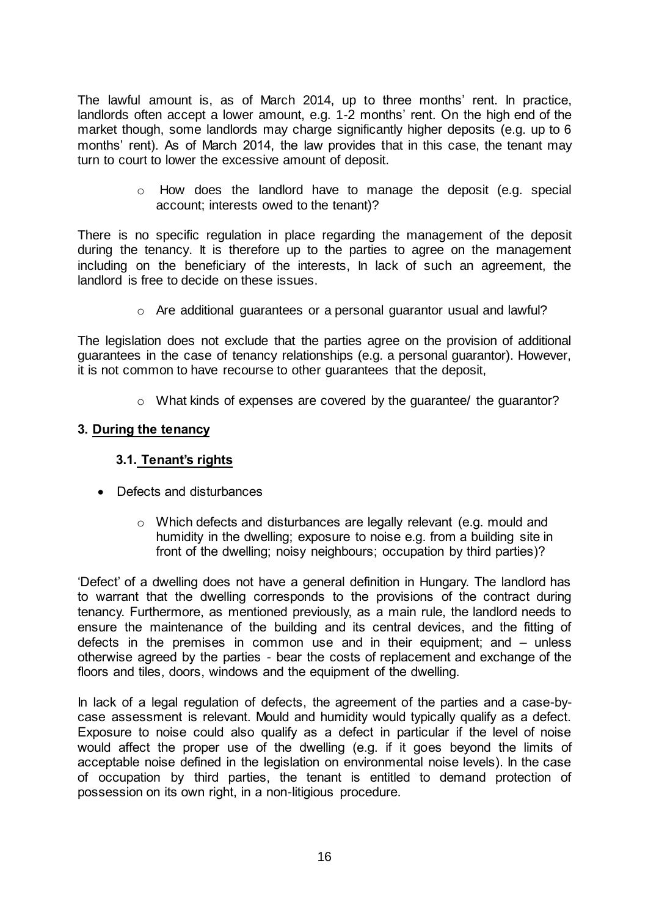The lawful amount is, as of March 2014, up to three months' rent. In practice, landlords often accept a lower amount, e.g. 1-2 months' rent. On the high end of the market though, some landlords may charge significantly higher deposits (e.g. up to 6 months' rent). As of March 2014, the law provides that in this case, the tenant may turn to court to lower the excessive amount of deposit.

> $\circ$  How does the landlord have to manage the deposit (e.g. special account; interests owed to the tenant)?

There is no specific regulation in place regarding the management of the deposit during the tenancy. It is therefore up to the parties to agree on the management including on the beneficiary of the interests, In lack of such an agreement, the landlord is free to decide on these issues.

 $\circ$  Are additional guarantees or a personal guarantor usual and lawful?

The legislation does not exclude that the parties agree on the provision of additional guarantees in the case of tenancy relationships (e.g. a personal guarantor). However, it is not common to have recourse to other guarantees that the deposit,

o What kinds of expenses are covered by the guarantee/ the guarantor?

#### **3. During the tenancy**

#### **3.1. Tenant's rights**

- Defects and disturbances
	- $\circ$  Which defects and disturbances are legally relevant (e.g. mould and humidity in the dwelling; exposure to noise e.g. from a building site in front of the dwelling; noisy neighbours; occupation by third parties)?

'Defect' of a dwelling does not have a general definition in Hungary. The landlord has to warrant that the dwelling corresponds to the provisions of the contract during tenancy. Furthermore, as mentioned previously, as a main rule, the landlord needs to ensure the maintenance of the building and its central devices, and the fitting of defects in the premises in common use and in their equipment; and – unless otherwise agreed by the parties - bear the costs of replacement and exchange of the floors and tiles, doors, windows and the equipment of the dwelling.

In lack of a legal regulation of defects, the agreement of the parties and a case-bycase assessment is relevant. Mould and humidity would typically qualify as a defect. Exposure to noise could also qualify as a defect in particular if the level of noise would affect the proper use of the dwelling (e.g. if it goes beyond the limits of acceptable noise defined in the legislation on environmental noise levels). In the case of occupation by third parties, the tenant is entitled to demand protection of possession on its own right, in a non-litigious procedure.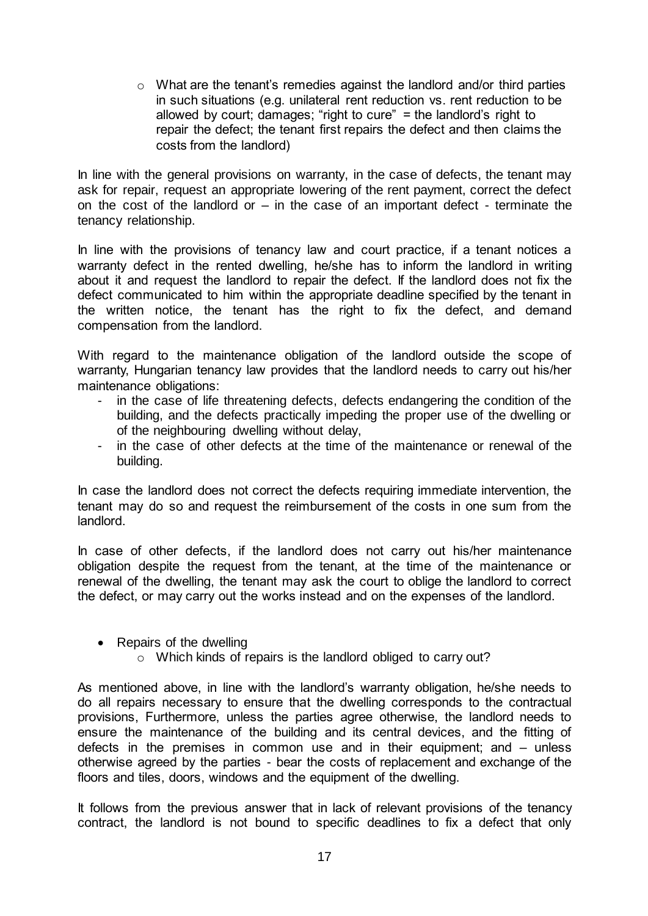o What are the tenant's remedies against the landlord and/or third parties in such situations (e.g. unilateral rent reduction vs. rent reduction to be allowed by court; damages; "right to cure" = the landlord's right to repair the defect; the tenant first repairs the defect and then claims the costs from the landlord)

In line with the general provisions on warranty, in the case of defects, the tenant may ask for repair, request an appropriate lowering of the rent payment, correct the defect on the cost of the landlord or  $-$  in the case of an important defect - terminate the tenancy relationship.

In line with the provisions of tenancy law and court practice, if a tenant notices a warranty defect in the rented dwelling, he/she has to inform the landlord in writing about it and request the landlord to repair the defect. If the landlord does not fix the defect communicated to him within the appropriate deadline specified by the tenant in the written notice, the tenant has the right to fix the defect, and demand compensation from the landlord.

With regard to the maintenance obligation of the landlord outside the scope of warranty, Hungarian tenancy law provides that the landlord needs to carry out his/her maintenance obligations:

- in the case of life threatening defects, defects endangering the condition of the building, and the defects practically impeding the proper use of the dwelling or of the neighbouring dwelling without delay,
- in the case of other defects at the time of the maintenance or renewal of the building.

In case the landlord does not correct the defects requiring immediate intervention, the tenant may do so and request the reimbursement of the costs in one sum from the landlord.

In case of other defects, if the landlord does not carry out his/her maintenance obligation despite the request from the tenant, at the time of the maintenance or renewal of the dwelling, the tenant may ask the court to oblige the landlord to correct the defect, or may carry out the works instead and on the expenses of the landlord.

- Repairs of the dwelling
	- o Which kinds of repairs is the landlord obliged to carry out?

As mentioned above, in line with the landlord's warranty obligation, he/she needs to do all repairs necessary to ensure that the dwelling corresponds to the contractual provisions, Furthermore, unless the parties agree otherwise, the landlord needs to ensure the maintenance of the building and its central devices, and the fitting of defects in the premises in common use and in their equipment; and – unless otherwise agreed by the parties - bear the costs of replacement and exchange of the floors and tiles, doors, windows and the equipment of the dwelling.

It follows from the previous answer that in lack of relevant provisions of the tenancy contract, the landlord is not bound to specific deadlines to fix a defect that only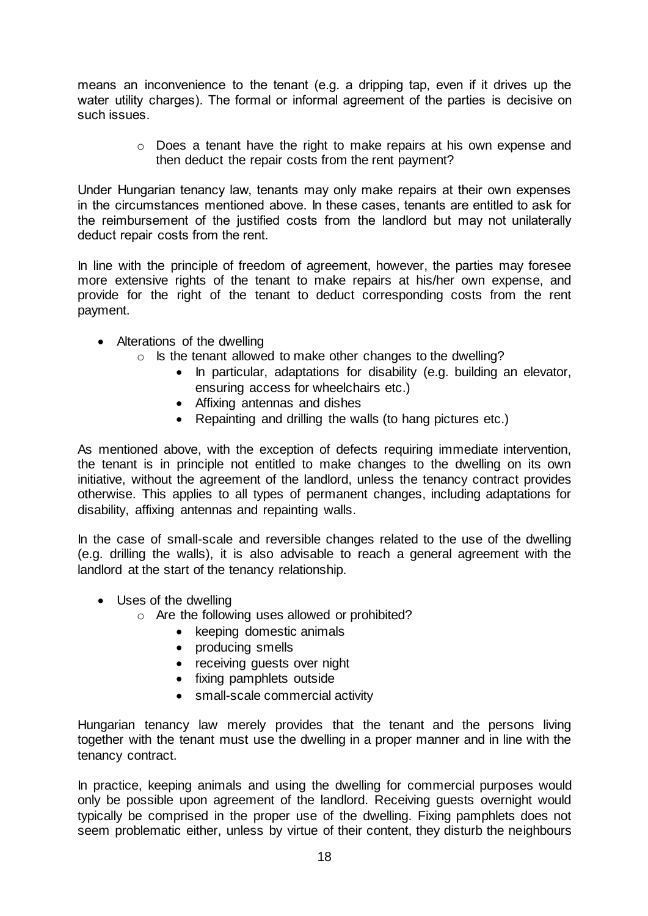means an inconvenience to the tenant (e.g. a dripping tap, even if it drives up the water utility charges). The formal or informal agreement of the parties is decisive on such issues.

> o Does a tenant have the right to make repairs at his own expense and then deduct the repair costs from the rent payment?

Under Hungarian tenancy law, tenants may only make repairs at their own expenses in the circumstances mentioned above. In these cases, tenants are entitled to ask for the reimbursement of the justified costs from the landlord but may not unilaterally deduct repair costs from the rent.

In line with the principle of freedom of agreement, however, the parties may foresee more extensive rights of the tenant to make repairs at his/her own expense, and provide for the right of the tenant to deduct corresponding costs from the rent payment.

- Alterations of the dwelling
	- o Is the tenant allowed to make other changes to the dwelling?
		- In particular, adaptations for disability (e.g. building an elevator, ensuring access for wheelchairs etc.)
		- Affixing antennas and dishes
		- Repainting and drilling the walls (to hang pictures etc.)

As mentioned above, with the exception of defects requiring immediate intervention, the tenant is in principle not entitled to make changes to the dwelling on its own initiative, without the agreement of the landlord, unless the tenancy contract provides otherwise. This applies to all types of permanent changes, including adaptations for disability, affixing antennas and repainting walls.

In the case of small-scale and reversible changes related to the use of the dwelling (e.g. drilling the walls), it is also advisable to reach a general agreement with the landlord at the start of the tenancy relationship.

- Uses of the dwelling
	- o Are the following uses allowed or prohibited?
		- keeping domestic animals
		- producing smells
		- receiving guests over night
		- fixing pamphlets outside
		- small-scale commercial activity

Hungarian tenancy law merely provides that the tenant and the persons living together with the tenant must use the dwelling in a proper manner and in line with the tenancy contract.

In practice, keeping animals and using the dwelling for commercial purposes would only be possible upon agreement of the landlord. Receiving guests overnight would typically be comprised in the proper use of the dwelling. Fixing pamphlets does not seem problematic either, unless by virtue of their content, they disturb the neighbours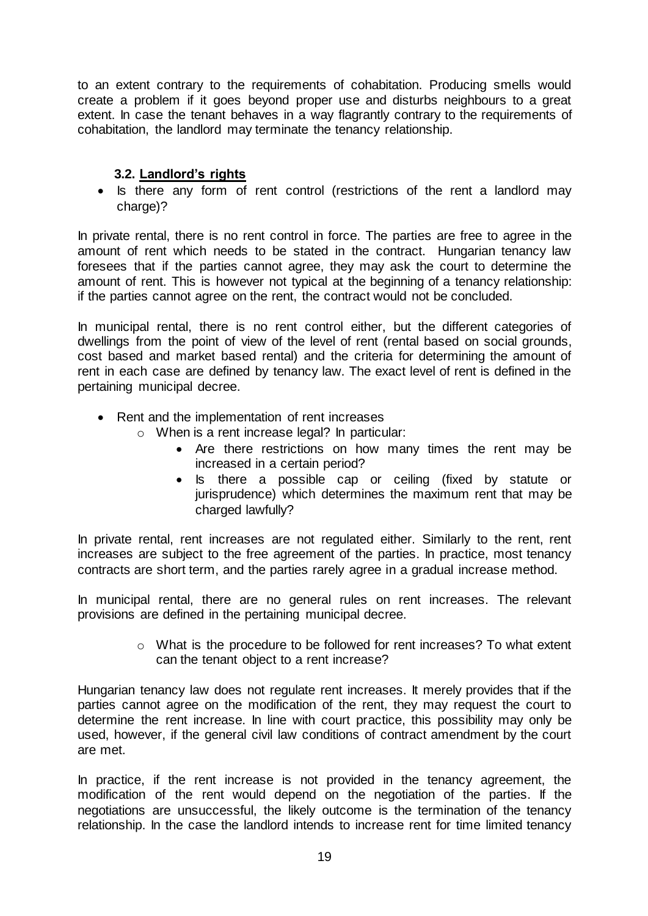to an extent contrary to the requirements of cohabitation. Producing smells would create a problem if it goes beyond proper use and disturbs neighbours to a great extent. In case the tenant behaves in a way flagrantly contrary to the requirements of cohabitation, the landlord may terminate the tenancy relationship.

# **3.2. Landlord's rights**

• Is there any form of rent control (restrictions of the rent a landlord may charge)?

In private rental, there is no rent control in force. The parties are free to agree in the amount of rent which needs to be stated in the contract. Hungarian tenancy law foresees that if the parties cannot agree, they may ask the court to determine the amount of rent. This is however not typical at the beginning of a tenancy relationship: if the parties cannot agree on the rent, the contract would not be concluded.

In municipal rental, there is no rent control either, but the different categories of dwellings from the point of view of the level of rent (rental based on social grounds, cost based and market based rental) and the criteria for determining the amount of rent in each case are defined by tenancy law. The exact level of rent is defined in the pertaining municipal decree.

- Rent and the implementation of rent increases
	- o When is a rent increase legal? In particular:
		- Are there restrictions on how many times the rent may be increased in a certain period?
		- Is there a possible cap or ceiling (fixed by statute or jurisprudence) which determines the maximum rent that may be charged lawfully?

In private rental, rent increases are not regulated either. Similarly to the rent, rent increases are subject to the free agreement of the parties. In practice, most tenancy contracts are short term, and the parties rarely agree in a gradual increase method.

In municipal rental, there are no general rules on rent increases. The relevant provisions are defined in the pertaining municipal decree.

> $\circ$  What is the procedure to be followed for rent increases? To what extent can the tenant object to a rent increase?

Hungarian tenancy law does not regulate rent increases. It merely provides that if the parties cannot agree on the modification of the rent, they may request the court to determine the rent increase. In line with court practice, this possibility may only be used, however, if the general civil law conditions of contract amendment by the court are met.

In practice, if the rent increase is not provided in the tenancy agreement, the modification of the rent would depend on the negotiation of the parties. If the negotiations are unsuccessful, the likely outcome is the termination of the tenancy relationship. In the case the landlord intends to increase rent for time limited tenancy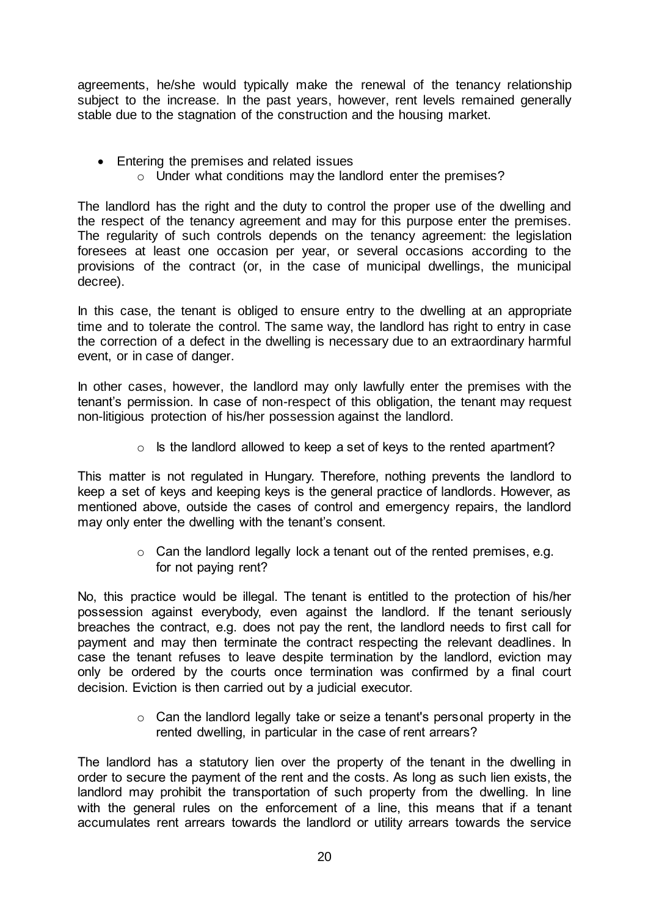agreements, he/she would typically make the renewal of the tenancy relationship subject to the increase. In the past years, however, rent levels remained generally stable due to the stagnation of the construction and the housing market.

- Entering the premises and related issues
	- o Under what conditions may the landlord enter the premises?

The landlord has the right and the duty to control the proper use of the dwelling and the respect of the tenancy agreement and may for this purpose enter the premises. The regularity of such controls depends on the tenancy agreement: the legislation foresees at least one occasion per year, or several occasions according to the provisions of the contract (or, in the case of municipal dwellings, the municipal decree).

In this case, the tenant is obliged to ensure entry to the dwelling at an appropriate time and to tolerate the control. The same way, the landlord has right to entry in case the correction of a defect in the dwelling is necessary due to an extraordinary harmful event, or in case of danger.

In other cases, however, the landlord may only lawfully enter the premises with the tenant's permission. In case of non-respect of this obligation, the tenant may request non-litigious protection of his/her possession against the landlord.

 $\circ$  Is the landlord allowed to keep a set of keys to the rented apartment?

This matter is not regulated in Hungary. Therefore, nothing prevents the landlord to keep a set of keys and keeping keys is the general practice of landlords. However, as mentioned above, outside the cases of control and emergency repairs, the landlord may only enter the dwelling with the tenant's consent.

> o Can the landlord legally lock a tenant out of the rented premises, e.g. for not paying rent?

No, this practice would be illegal. The tenant is entitled to the protection of his/her possession against everybody, even against the landlord. If the tenant seriously breaches the contract, e.g. does not pay the rent, the landlord needs to first call for payment and may then terminate the contract respecting the relevant deadlines. In case the tenant refuses to leave despite termination by the landlord, eviction may only be ordered by the courts once termination was confirmed by a final court decision. Eviction is then carried out by a judicial executor.

> $\circ$  Can the landlord legally take or seize a tenant's personal property in the rented dwelling, in particular in the case of rent arrears?

The landlord has a statutory lien over the property of the tenant in the dwelling in order to secure the payment of the rent and the costs. As long as such lien exists, the landlord may prohibit the transportation of such property from the dwelling. In line with the general rules on the enforcement of a line, this means that if a tenant accumulates rent arrears towards the landlord or utility arrears towards the service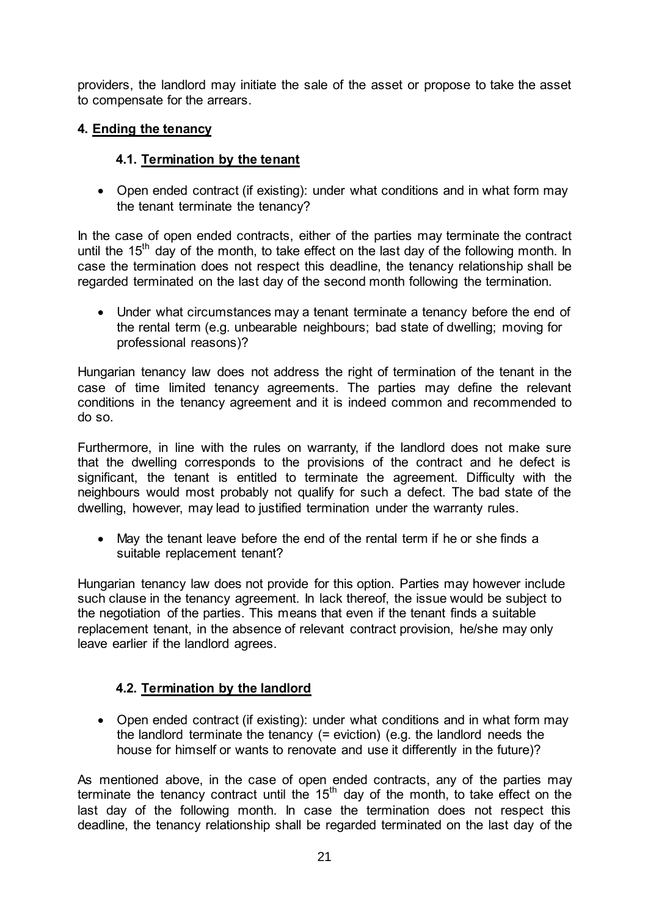providers, the landlord may initiate the sale of the asset or propose to take the asset to compensate for the arrears.

# **4. Ending the tenancy**

# **4.1. Termination by the tenant**

• Open ended contract (if existing): under what conditions and in what form may the tenant terminate the tenancy?

In the case of open ended contracts, either of the parties may terminate the contract until the  $15<sup>th</sup>$  day of the month, to take effect on the last day of the following month. In case the termination does not respect this deadline, the tenancy relationship shall be regarded terminated on the last day of the second month following the termination.

 Under what circumstances may a tenant terminate a tenancy before the end of the rental term (e.g. unbearable neighbours; bad state of dwelling; moving for professional reasons)?

Hungarian tenancy law does not address the right of termination of the tenant in the case of time limited tenancy agreements. The parties may define the relevant conditions in the tenancy agreement and it is indeed common and recommended to do so.

Furthermore, in line with the rules on warranty, if the landlord does not make sure that the dwelling corresponds to the provisions of the contract and he defect is significant, the tenant is entitled to terminate the agreement. Difficulty with the neighbours would most probably not qualify for such a defect. The bad state of the dwelling, however, may lead to justified termination under the warranty rules.

 May the tenant leave before the end of the rental term if he or she finds a suitable replacement tenant?

Hungarian tenancy law does not provide for this option. Parties may however include such clause in the tenancy agreement. In lack thereof, the issue would be subject to the negotiation of the parties. This means that even if the tenant finds a suitable replacement tenant, in the absence of relevant contract provision, he/she may only leave earlier if the landlord agrees.

# **4.2. Termination by the landlord**

• Open ended contract (if existing): under what conditions and in what form may the landlord terminate the tenancy (= eviction) (e.g. the landlord needs the house for himself or wants to renovate and use it differently in the future)?

As mentioned above, in the case of open ended contracts, any of the parties may terminate the tenancy contract until the 15<sup>th</sup> day of the month, to take effect on the last day of the following month. In case the termination does not respect this deadline, the tenancy relationship shall be regarded terminated on the last day of the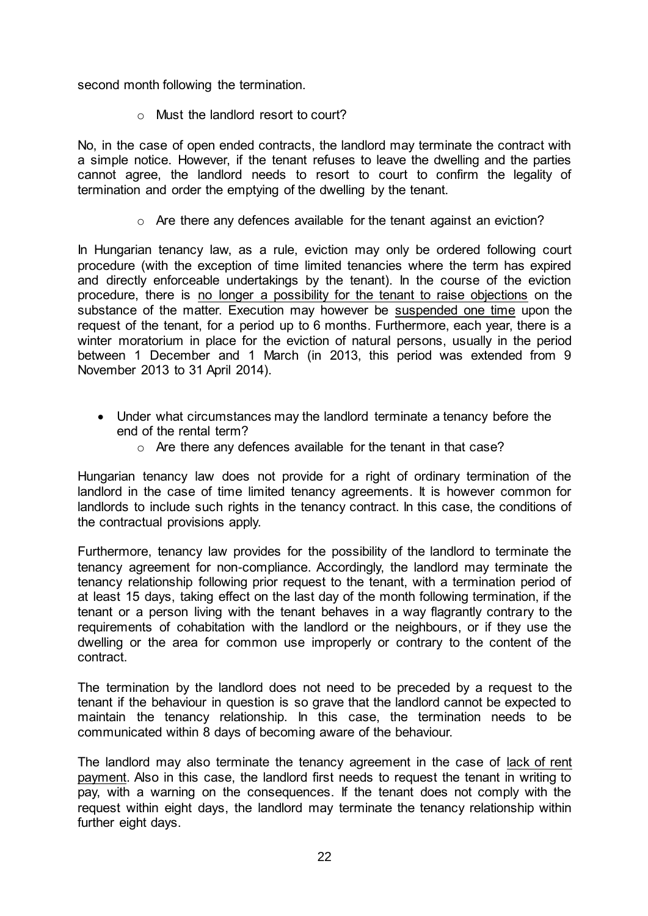second month following the termination.

o Must the landlord resort to court?

No, in the case of open ended contracts, the landlord may terminate the contract with a simple notice. However, if the tenant refuses to leave the dwelling and the parties cannot agree, the landlord needs to resort to court to confirm the legality of termination and order the emptying of the dwelling by the tenant.

o Are there any defences available for the tenant against an eviction?

In Hungarian tenancy law, as a rule, eviction may only be ordered following court procedure (with the exception of time limited tenancies where the term has expired and directly enforceable undertakings by the tenant). In the course of the eviction procedure, there is no longer a possibility for the tenant to raise objections on the substance of the matter. Execution may however be suspended one time upon the request of the tenant, for a period up to 6 months. Furthermore, each year, there is a winter moratorium in place for the eviction of natural persons, usually in the period between 1 December and 1 March (in 2013, this period was extended from 9 November 2013 to 31 April 2014).

- Under what circumstances may the landlord terminate a tenancy before the end of the rental term?
	- o Are there any defences available for the tenant in that case?

Hungarian tenancy law does not provide for a right of ordinary termination of the landlord in the case of time limited tenancy agreements. It is however common for landlords to include such rights in the tenancy contract. In this case, the conditions of the contractual provisions apply.

Furthermore, tenancy law provides for the possibility of the landlord to terminate the tenancy agreement for non-compliance. Accordingly, the landlord may terminate the tenancy relationship following prior request to the tenant, with a termination period of at least 15 days, taking effect on the last day of the month following termination, if the tenant or a person living with the tenant behaves in a way flagrantly contrary to the requirements of cohabitation with the landlord or the neighbours, or if they use the dwelling or the area for common use improperly or contrary to the content of the contract.

The termination by the landlord does not need to be preceded by a request to the tenant if the behaviour in question is so grave that the landlord cannot be expected to maintain the tenancy relationship. In this case, the termination needs to be communicated within 8 days of becoming aware of the behaviour.

The landlord may also terminate the tenancy agreement in the case of lack of rent payment. Also in this case, the landlord first needs to request the tenant in writing to pay, with a warning on the consequences. If the tenant does not comply with the request within eight days, the landlord may terminate the tenancy relationship within further eight days.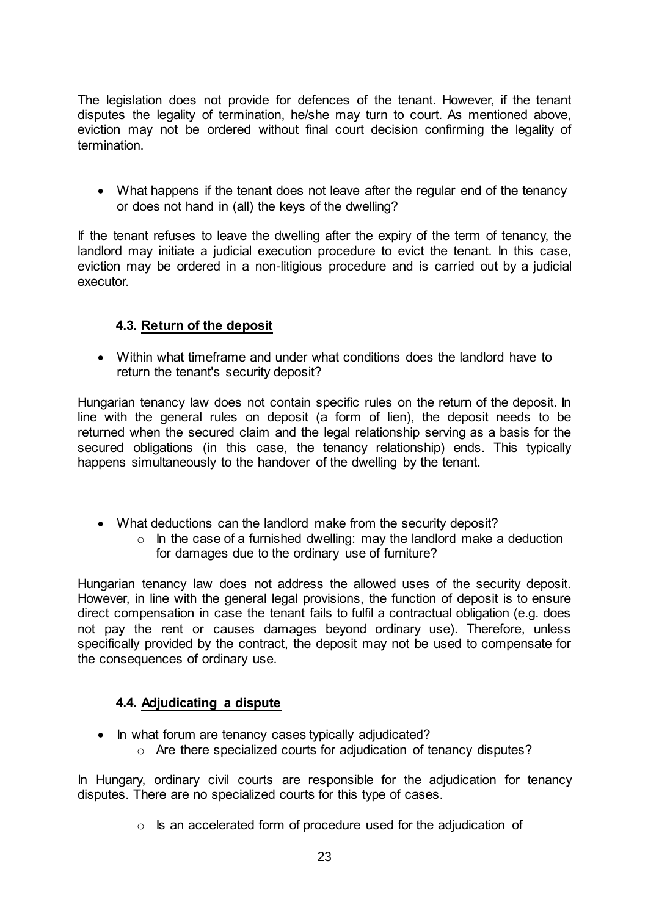The legislation does not provide for defences of the tenant. However, if the tenant disputes the legality of termination, he/she may turn to court. As mentioned above, eviction may not be ordered without final court decision confirming the legality of termination.

• What happens if the tenant does not leave after the regular end of the tenancy or does not hand in (all) the keys of the dwelling?

If the tenant refuses to leave the dwelling after the expiry of the term of tenancy, the landlord may initiate a judicial execution procedure to evict the tenant. In this case, eviction may be ordered in a non-litigious procedure and is carried out by a judicial executor.

# **4.3. Return of the deposit**

 Within what timeframe and under what conditions does the landlord have to return the tenant's security deposit?

Hungarian tenancy law does not contain specific rules on the return of the deposit. In line with the general rules on deposit (a form of lien), the deposit needs to be returned when the secured claim and the legal relationship serving as a basis for the secured obligations (in this case, the tenancy relationship) ends. This typically happens simultaneously to the handover of the dwelling by the tenant.

- What deductions can the landlord make from the security deposit?
	- $\circ$  In the case of a furnished dwelling: may the landlord make a deduction for damages due to the ordinary use of furniture?

Hungarian tenancy law does not address the allowed uses of the security deposit. However, in line with the general legal provisions, the function of deposit is to ensure direct compensation in case the tenant fails to fulfil a contractual obligation (e.g. does not pay the rent or causes damages beyond ordinary use). Therefore, unless specifically provided by the contract, the deposit may not be used to compensate for the consequences of ordinary use.

# **4.4. Adjudicating a dispute**

- In what forum are tenancy cases typically adjudicated?
	- o Are there specialized courts for adjudication of tenancy disputes?

In Hungary, ordinary civil courts are responsible for the adjudication for tenancy disputes. There are no specialized courts for this type of cases.

o Is an accelerated form of procedure used for the adjudication of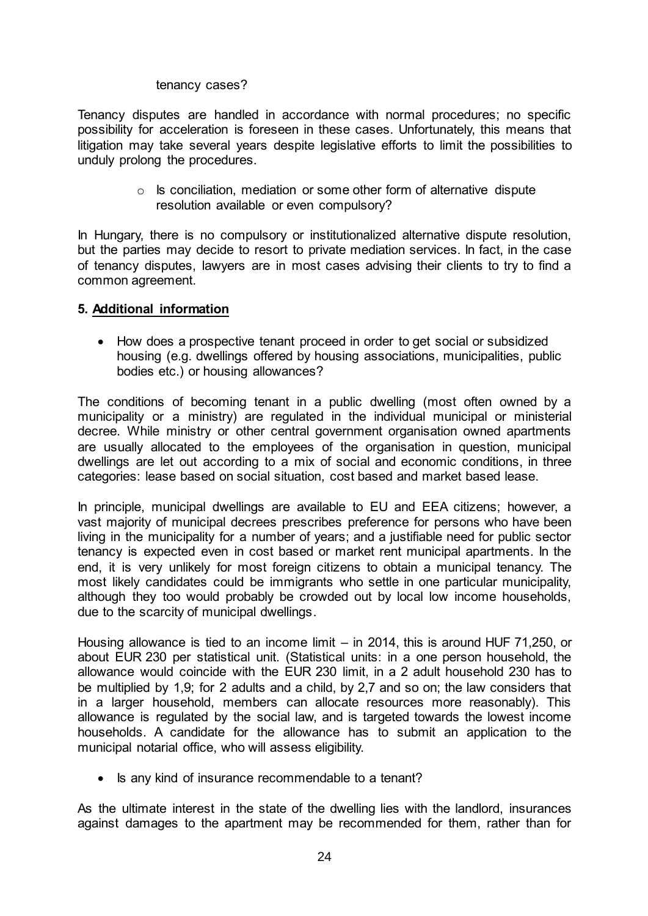tenancy cases?

Tenancy disputes are handled in accordance with normal procedures; no specific possibility for acceleration is foreseen in these cases. Unfortunately, this means that litigation may take several years despite legislative efforts to limit the possibilities to unduly prolong the procedures.

> $\circ$  Is conciliation, mediation or some other form of alternative dispute resolution available or even compulsory?

In Hungary, there is no compulsory or institutionalized alternative dispute resolution, but the parties may decide to resort to private mediation services. In fact, in the case of tenancy disputes, lawyers are in most cases advising their clients to try to find a common agreement.

#### **5. Additional information**

 How does a prospective tenant proceed in order to get social or subsidized housing (e.g. dwellings offered by housing associations, municipalities, public bodies etc.) or housing allowances?

The conditions of becoming tenant in a public dwelling (most often owned by a municipality or a ministry) are regulated in the individual municipal or ministerial decree. While ministry or other central government organisation owned apartments are usually allocated to the employees of the organisation in question, municipal dwellings are let out according to a mix of social and economic conditions, in three categories: lease based on social situation, cost based and market based lease.

In principle, municipal dwellings are available to EU and EEA citizens; however, a vast majority of municipal decrees prescribes preference for persons who have been living in the municipality for a number of years; and a justifiable need for public sector tenancy is expected even in cost based or market rent municipal apartments. In the end, it is very unlikely for most foreign citizens to obtain a municipal tenancy. The most likely candidates could be immigrants who settle in one particular municipality, although they too would probably be crowded out by local low income households, due to the scarcity of municipal dwellings.

Housing allowance is tied to an income limit – in 2014, this is around HUF 71,250, or about EUR 230 per statistical unit. (Statistical units: in a one person household, the allowance would coincide with the EUR 230 limit, in a 2 adult household 230 has to be multiplied by 1,9; for 2 adults and a child, by 2,7 and so on; the law considers that in a larger household, members can allocate resources more reasonably). This allowance is regulated by the social law, and is targeted towards the lowest income households. A candidate for the allowance has to submit an application to the municipal notarial office, who will assess eligibility.

• Is any kind of insurance recommendable to a tenant?

As the ultimate interest in the state of the dwelling lies with the landlord, insurances against damages to the apartment may be recommended for them, rather than for